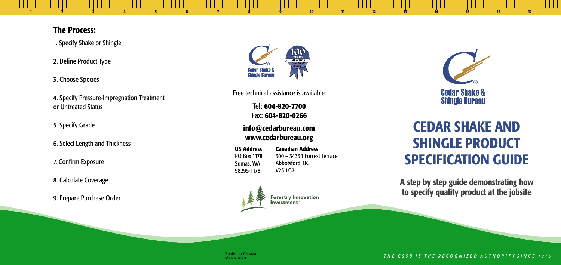Tel: 604-820-7700 Fax: 604-820-0266

#### info@cedarbureau.com www.cedarbureau.org

1 2 3 4 5 6 7 8 9 10 11 12 13 14 15 16 17

Printed in Canada March 2020



# CEDAR SHAKE AND SHINGLE PRODUCT SPECIFICATION GUIDE

Free technical assistance is available

#### The Process:

- 1. Specify Shake or Shingle
- 2. Define Product Type
- 3. Choose Species
- 4. Specify Pressure-Impregnation Treatment or Untreated Status
- 5. Specify Grade
- 6. Select Length and Thickness
- 7. Confirm Exposure
- 8. Calculate Coverage
- 9. Prepare Purchase Order



A step by step guide demonstrating how to specify quality product at the jobsite

THE CSSB IS THE RECOGNIZED AUTHORITY SINCE 1915

US Address Canadian Address PO Box 1178 Sumas, WA 98295-1178

300 – 34334 Forrest Terrace Abbotsford, BC V2S 1G7



**Forestry Innovation** Investment®